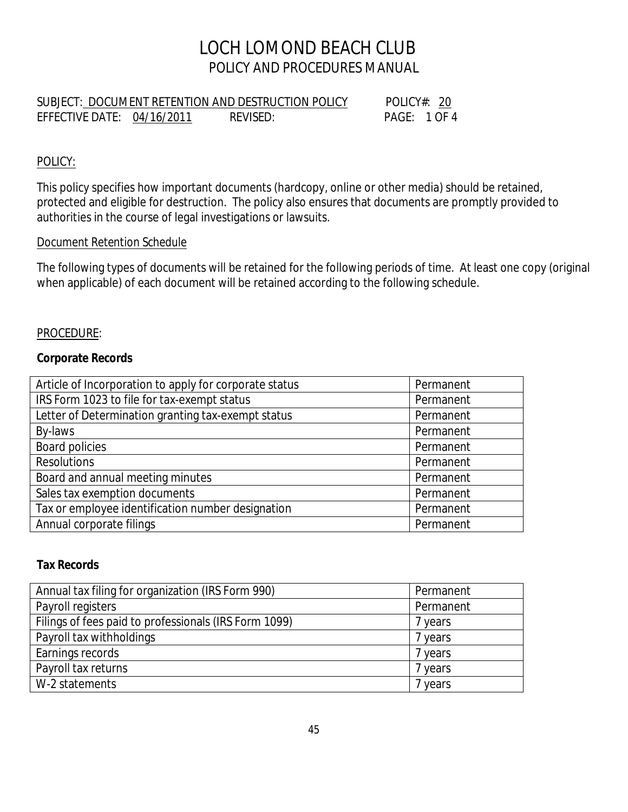## LOCH LOMOND BEACH CLUB POLICY AND PROCEDURES MANUAL

|                            | SUBJECT: DOCUMENT RETENTION AND DESTRUCTION POLICY | POLICY#: 20 |  |
|----------------------------|----------------------------------------------------|-------------|--|
| EFFECTIVE DATE: 04/16/2011 | REVISED:                                           | PAGF: 1OF4  |  |

## POLICY:

This policy specifies how important documents (hardcopy, online or other media) should be retained, protected and eligible for destruction. The policy also ensures that documents are promptly provided to authorities in the course of legal investigations or lawsuits.

## *Document Retention Schedule*

The following types of documents will be retained for the following periods of time. At least one copy (original when applicable) of each document will be retained according to the following schedule.

### PROCEDURE:

### **Corporate Records**

| Article of Incorporation to apply for corporate status | Permanent |
|--------------------------------------------------------|-----------|
| IRS Form 1023 to file for tax-exempt status            | Permanent |
| Letter of Determination granting tax-exempt status     | Permanent |
| By-laws                                                | Permanent |
| <b>Board policies</b>                                  | Permanent |
| <b>Resolutions</b>                                     | Permanent |
| Board and annual meeting minutes                       | Permanent |
| Sales tax exemption documents                          | Permanent |
| Tax or employee identification number designation      | Permanent |
| Annual corporate filings                               | Permanent |

## **Tax Records**

| Annual tax filing for organization (IRS Form 990)     | Permanent |
|-------------------------------------------------------|-----------|
| Payroll registers                                     | Permanent |
| Filings of fees paid to professionals (IRS Form 1099) | 7 years   |
| Payroll tax withholdings                              | 7 years   |
| Earnings records                                      | 7 years   |
| Payroll tax returns                                   | 7 years   |
| W-2 statements                                        | 7 years   |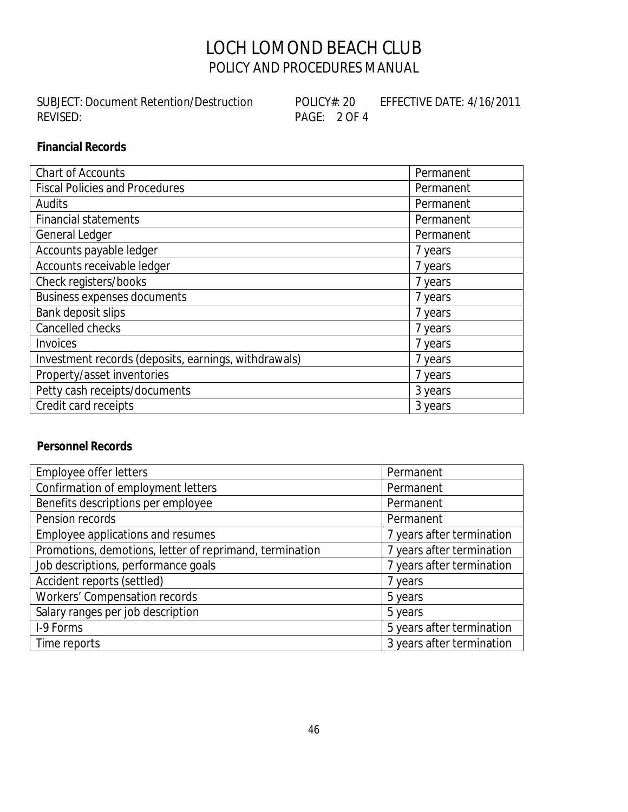# LOCH LOMOND BEACH CLUB POLICY AND PROCEDURES MANUAL

SUBJECT: <u>Document Retention/Destruction</u> POLICY#: <u>20</u> EFFECTIVE DATE: 4/16/2011<br>REVISED: PAGE: 2 OF 4

PAGE: 2 OF 4

## **Financial Records**

| Chart of Accounts                                    | Permanent |
|------------------------------------------------------|-----------|
| <b>Fiscal Policies and Procedures</b>                | Permanent |
| <b>Audits</b>                                        | Permanent |
| <b>Financial statements</b>                          | Permanent |
| General Ledger                                       | Permanent |
| Accounts payable ledger                              | 7 years   |
| Accounts receivable ledger                           | 7 years   |
| Check registers/books                                | 7 years   |
| <b>Business expenses documents</b>                   | 7 years   |
| Bank deposit slips                                   | 7 years   |
| Cancelled checks                                     | 7 years   |
| <b>Invoices</b>                                      | 7 years   |
| Investment records (deposits, earnings, withdrawals) | 7 years   |
| Property/asset inventories                           | 7 years   |
| Petty cash receipts/documents                        | 3 years   |
| Credit card receipts                                 | 3 years   |

## **Personnel Records**

| Employee offer letters                                  | Permanent                 |
|---------------------------------------------------------|---------------------------|
| Confirmation of employment letters                      | Permanent                 |
| Benefits descriptions per employee                      | Permanent                 |
| Pension records                                         | Permanent                 |
| Employee applications and resumes                       | 7 years after termination |
| Promotions, demotions, letter of reprimand, termination | 7 years after termination |
| Job descriptions, performance goals                     | 7 years after termination |
| Accident reports (settled)                              | 7 years                   |
| Workers' Compensation records                           | 5 years                   |
| Salary ranges per job description                       | 5 years                   |
| I-9 Forms                                               | 5 years after termination |
| Time reports                                            | 3 years after termination |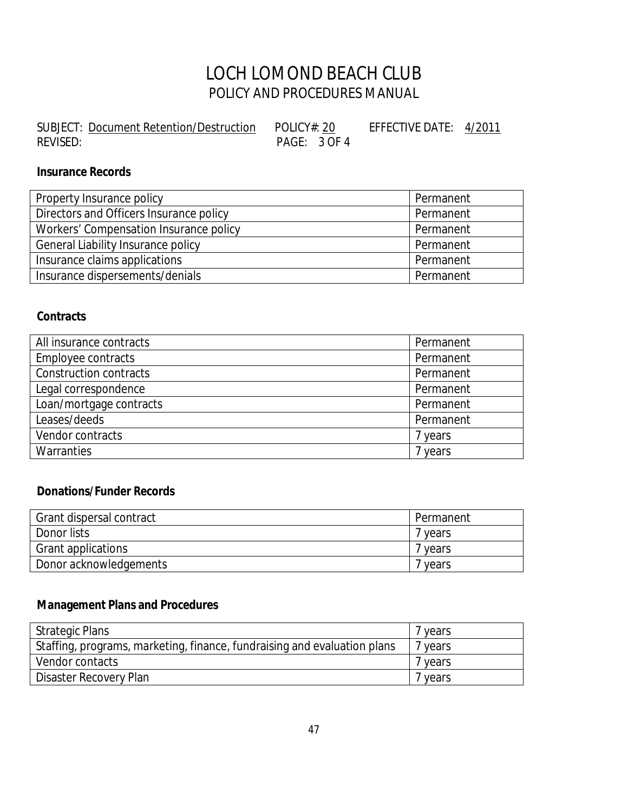# LOCH LOMOND BEACH CLUB POLICY AND PROCEDURES MANUAL

| SUBJECT: Document Retention/Destruction | POLICY#: 20  | EFFECTIVE DATE: 4/2011 |  |
|-----------------------------------------|--------------|------------------------|--|
| REVISED:                                | PAGE: 3 OF 4 |                        |  |

## **Insurance Records**

| Property Insurance policy               | Permanent |
|-----------------------------------------|-----------|
| Directors and Officers Insurance policy | Permanent |
| Workers' Compensation Insurance policy  | Permanent |
| General Liability Insurance policy      | Permanent |
| Insurance claims applications           | Permanent |
| Insurance dispersements/denials         | Permanent |

#### **Contracts**

| All insurance contracts | Permanent |
|-------------------------|-----------|
| Employee contracts      | Permanent |
| Construction contracts  | Permanent |
| Legal correspondence    | Permanent |
| Loan/mortgage contracts | Permanent |
| Leases/deeds            | Permanent |
| Vendor contracts        | 7 years   |
| Warranties              | 7 years   |

## **Donations/Funder Records**

| Grant dispersal contract | Permanent |
|--------------------------|-----------|
| Donor lists              | vears     |
| Grant applications       | vears     |
| Donor acknowledgements   | vears     |

## **Management Plans and Procedures**

| <b>Strategic Plans</b>                                                   | 7 years |
|--------------------------------------------------------------------------|---------|
| Staffing, programs, marketing, finance, fundraising and evaluation plans | 7 years |
| Vendor contacts                                                          | 7 years |
| Disaster Recovery Plan                                                   | 7 years |